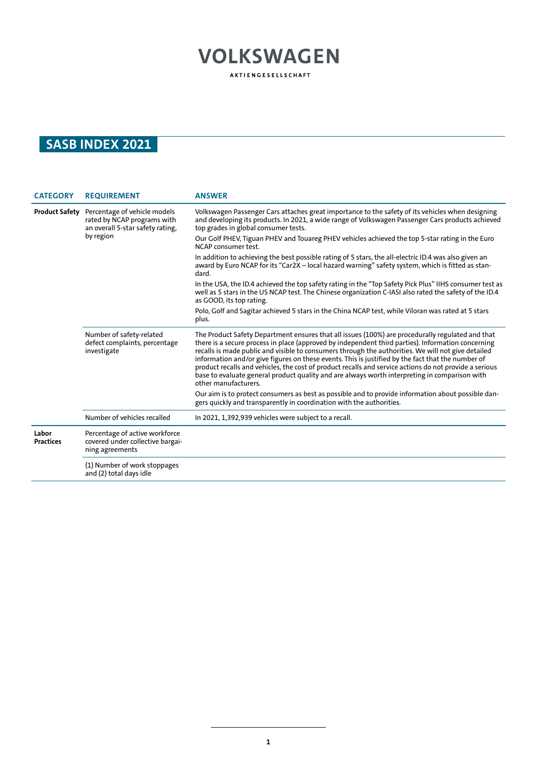## **VOLKSWAGEN**

AKTIENGESELLSCHAFT

## **SASB INDEX 2021**

| <b>CATEGORY</b>           | <b>REQUIREMENT</b>                                                                                                          | <b>ANSWER</b>                                                                                                                                                                                                                                                                                                                                                                                                                                                                                                                                                                                                                                        |
|---------------------------|-----------------------------------------------------------------------------------------------------------------------------|------------------------------------------------------------------------------------------------------------------------------------------------------------------------------------------------------------------------------------------------------------------------------------------------------------------------------------------------------------------------------------------------------------------------------------------------------------------------------------------------------------------------------------------------------------------------------------------------------------------------------------------------------|
|                           | Product Safety Percentage of vehicle models<br>rated by NCAP programs with<br>an overall 5-star safety rating,<br>by region | Volkswagen Passenger Cars attaches great importance to the safety of its vehicles when designing<br>and developing its products. In 2021, a wide range of Volkswagen Passenger Cars products achieved<br>top grades in global consumer tests.                                                                                                                                                                                                                                                                                                                                                                                                        |
|                           |                                                                                                                             | Our Golf PHEV, Tiguan PHEV and Touareg PHEV vehicles achieved the top 5-star rating in the Euro<br>NCAP consumer test.                                                                                                                                                                                                                                                                                                                                                                                                                                                                                                                               |
|                           |                                                                                                                             | In addition to achieving the best possible rating of 5 stars, the all-electric ID.4 was also given an<br>award by Euro NCAP for its "Car2X - local hazard warning" safety system, which is fitted as stan-<br>dard.                                                                                                                                                                                                                                                                                                                                                                                                                                  |
|                           |                                                                                                                             | In the USA, the ID.4 achieved the top safety rating in the "Top Safety Pick Plus" IIHS consumer test as<br>well as 5 stars in the US NCAP test. The Chinese organization C-IASI also rated the safety of the ID.4<br>as GOOD, its top rating.                                                                                                                                                                                                                                                                                                                                                                                                        |
|                           |                                                                                                                             | Polo, Golf and Sagitar achieved 5 stars in the China NCAP test, while Viloran was rated at 5 stars<br>plus.                                                                                                                                                                                                                                                                                                                                                                                                                                                                                                                                          |
|                           | Number of safety-related<br>defect complaints, percentage<br>investigate                                                    | The Product Safety Department ensures that all issues (100%) are procedurally regulated and that<br>there is a secure process in place (approved by independent third parties). Information concerning<br>recalls is made public and visible to consumers through the authorities. We will not give detailed<br>information and/or give figures on these events. This is justified by the fact that the number of<br>product recalls and vehicles, the cost of product recalls and service actions do not provide a serious<br>base to evaluate general product quality and are always worth interpreting in comparison with<br>other manufacturers. |
|                           |                                                                                                                             | Our aim is to protect consumers as best as possible and to provide information about possible dan-<br>gers quickly and transparently in coordination with the authorities.                                                                                                                                                                                                                                                                                                                                                                                                                                                                           |
|                           | Number of vehicles recalled                                                                                                 | In 2021, 1,392,939 vehicles were subject to a recall.                                                                                                                                                                                                                                                                                                                                                                                                                                                                                                                                                                                                |
| Labor<br><b>Practices</b> | Percentage of active workforce<br>covered under collective bargai-<br>ning agreements                                       |                                                                                                                                                                                                                                                                                                                                                                                                                                                                                                                                                                                                                                                      |
|                           | (1) Number of work stoppages<br>and (2) total days idle                                                                     |                                                                                                                                                                                                                                                                                                                                                                                                                                                                                                                                                                                                                                                      |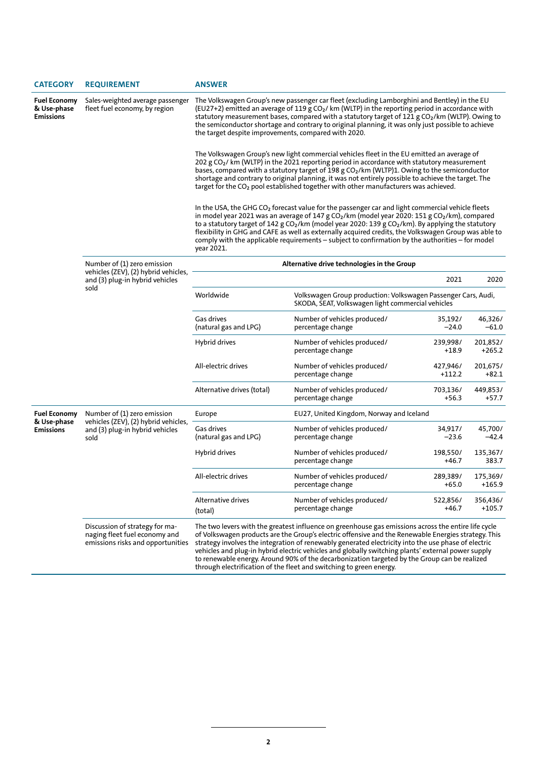| <b>CATEGORY</b>                                        | <b>REQUIREMENT</b>                                                                                             | <b>ANSWER</b>                                                                                                                                                                                                                                                                                                                                                                                                                                                                                                                                                                                                                                                                                                                                                                                                                                                                                                                                                                                                 |                                                   |                     |                      |
|--------------------------------------------------------|----------------------------------------------------------------------------------------------------------------|---------------------------------------------------------------------------------------------------------------------------------------------------------------------------------------------------------------------------------------------------------------------------------------------------------------------------------------------------------------------------------------------------------------------------------------------------------------------------------------------------------------------------------------------------------------------------------------------------------------------------------------------------------------------------------------------------------------------------------------------------------------------------------------------------------------------------------------------------------------------------------------------------------------------------------------------------------------------------------------------------------------|---------------------------------------------------|---------------------|----------------------|
| <b>Fuel Economy</b><br>& Use-phase<br><b>Emissions</b> | Sales-weighted average passenger<br>fleet fuel economy, by region                                              | The Volkswagen Group's new passenger car fleet (excluding Lamborghini and Bentley) in the EU<br>(EU27+2) emitted an average of 119 g CO <sub>2</sub> / km (WLTP) in the reporting period in accordance with<br>statutory measurement bases, compared with a statutory target of 121 g $CO2$ /km (WLTP). Owing to<br>the semiconductor shortage and contrary to original planning, it was only just possible to achieve<br>the target despite improvements, compared with 2020.<br>The Volkswagen Group's new light commercial vehicles fleet in the EU emitted an average of<br>202 g CO <sub>2</sub> / km (WLTP) in the 2021 reporting period in accordance with statutory measurement<br>bases, compared with a statutory target of 198 g CO <sub>2</sub> /km (WLTP)1. Owing to the semiconductor<br>shortage and contrary to original planning, it was not entirely possible to achieve the target. The<br>target for the CO <sub>2</sub> pool established together with other manufacturers was achieved. |                                                   |                     |                      |
|                                                        |                                                                                                                |                                                                                                                                                                                                                                                                                                                                                                                                                                                                                                                                                                                                                                                                                                                                                                                                                                                                                                                                                                                                               |                                                   |                     |                      |
|                                                        |                                                                                                                | In the USA, the GHG $CO2$ forecast value for the passenger car and light commercial vehicle fleets<br>in model year 2021 was an average of 147 g CO <sub>2</sub> /km (model year 2020: 151 g CO <sub>2</sub> /km), compared<br>to a statutory target of 142 g CO <sub>2</sub> /km (model year 2020: 139 g CO <sub>2</sub> /km). By applying the statutory<br>flexibility in GHG and CAFE as well as externally acquired credits, the Volkswagen Group was able to<br>comply with the applicable requirements $-$ subject to confirmation by the authorities $-$ for model<br>year 2021.                                                                                                                                                                                                                                                                                                                                                                                                                       |                                                   |                     |                      |
|                                                        | Number of (1) zero emission<br>vehicles (ZEV), (2) hybrid vehicles,<br>and (3) plug-in hybrid vehicles<br>sold | Alternative drive technologies in the Group                                                                                                                                                                                                                                                                                                                                                                                                                                                                                                                                                                                                                                                                                                                                                                                                                                                                                                                                                                   |                                                   |                     |                      |
|                                                        |                                                                                                                |                                                                                                                                                                                                                                                                                                                                                                                                                                                                                                                                                                                                                                                                                                                                                                                                                                                                                                                                                                                                               |                                                   | 2021                | 2020                 |
|                                                        |                                                                                                                | Worldwide<br>Volkswagen Group production: Volkswagen Passenger Cars, Audi,<br>SKODA, SEAT, Volkswagen light commercial vehicles                                                                                                                                                                                                                                                                                                                                                                                                                                                                                                                                                                                                                                                                                                                                                                                                                                                                               |                                                   |                     |                      |
|                                                        |                                                                                                                | Gas drives<br>(natural gas and LPG)                                                                                                                                                                                                                                                                                                                                                                                                                                                                                                                                                                                                                                                                                                                                                                                                                                                                                                                                                                           | Number of vehicles produced/<br>percentage change | 35,192/<br>$-24.0$  | 46,326/<br>$-61.0$   |
|                                                        |                                                                                                                | Hybrid drives                                                                                                                                                                                                                                                                                                                                                                                                                                                                                                                                                                                                                                                                                                                                                                                                                                                                                                                                                                                                 | Number of vehicles produced/<br>percentage change | 239,998/<br>$+18.9$ | 201,852/<br>$+265.2$ |
|                                                        |                                                                                                                | All-electric drives                                                                                                                                                                                                                                                                                                                                                                                                                                                                                                                                                                                                                                                                                                                                                                                                                                                                                                                                                                                           | Number of vehicles produced/<br>percentage change | 427,946/<br>+112.2  | 201,675/<br>+82.1    |
|                                                        |                                                                                                                | Alternative drives (total)                                                                                                                                                                                                                                                                                                                                                                                                                                                                                                                                                                                                                                                                                                                                                                                                                                                                                                                                                                                    | Number of vehicles produced/<br>percentage change | 703,136/<br>$+56.3$ | 449,853/<br>$+57.7$  |
| <b>Fuel Economy</b><br>& Use-phase<br><b>Emissions</b> | Number of (1) zero emission<br>vehicles (ZEV), (2) hybrid vehicles,<br>and (3) plug-in hybrid vehicles<br>sold | Europe<br>EU27, United Kingdom, Norway and Iceland                                                                                                                                                                                                                                                                                                                                                                                                                                                                                                                                                                                                                                                                                                                                                                                                                                                                                                                                                            |                                                   |                     |                      |
|                                                        |                                                                                                                | Gas drives<br>(natural gas and LPG)                                                                                                                                                                                                                                                                                                                                                                                                                                                                                                                                                                                                                                                                                                                                                                                                                                                                                                                                                                           | Number of vehicles produced/<br>percentage change | 34,917/<br>$-23.6$  | 45,700/<br>$-42.4$   |
|                                                        |                                                                                                                | Hybrid drives                                                                                                                                                                                                                                                                                                                                                                                                                                                                                                                                                                                                                                                                                                                                                                                                                                                                                                                                                                                                 | Number of vehicles produced/<br>percentage change | 198,550/<br>+46.7   | 135,367/<br>383.7    |
|                                                        |                                                                                                                | All-electric drives                                                                                                                                                                                                                                                                                                                                                                                                                                                                                                                                                                                                                                                                                                                                                                                                                                                                                                                                                                                           | Number of vehicles produced/<br>percentage change | 289,389/<br>$+65.0$ | 175,369/<br>$+165.9$ |
|                                                        |                                                                                                                | Alternative drives<br>(total)                                                                                                                                                                                                                                                                                                                                                                                                                                                                                                                                                                                                                                                                                                                                                                                                                                                                                                                                                                                 | Number of vehicles produced/<br>percentage change | 522,856/<br>$+46.7$ | 356,436/<br>$+105.7$ |
|                                                        | Discussion of strategy for ma-<br>naging fleet fuel economy and<br>emissions risks and opportunities           | The two levers with the greatest influence on greenhouse gas emissions across the entire life cycle<br>of Volkswagen products are the Group's electric offensive and the Renewable Energies strategy. This<br>strategy involves the integration of renewably generated electricity into the use phase of electric<br>vehicles and plug-in hybrid electric vehicles and globally switching plants' external power supply<br>to renewable energy. Around 90% of the decarbonization targeted by the Group can be realized<br>through electrification of the fleet and switching to green energy.                                                                                                                                                                                                                                                                                                                                                                                                                |                                                   |                     |                      |